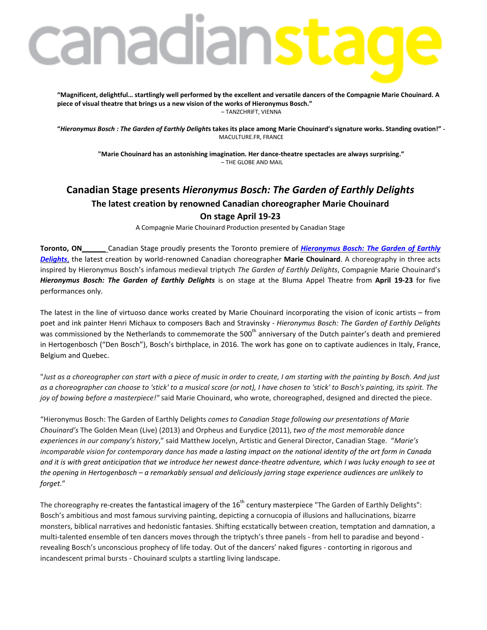# anadianst

**"Magnificent, delightful… startlingly well performed by the excellent and versatile dancers of the Compagnie Marie Chouinard. A piece of visual theatre that brings us a new vision of the works of Hieronymus Bosch."** – TANZCHRIFT, VIENNA

**"***Hieronymus Bosch : The Garden of Earthly Delight***s takes its place among Marie Chouinard's signature works. Standing ovation!" -** MACULTURE.FR, FRANCE

**"Marie Chouinard has an astonishing imagination. Her dance-theatre spectacles are always surprising."** – THE GLOBE AND MAIL

# **Canadian Stage presents** *Hieronymus Bosch: The Garden of Earthly Delights* **The latest creation by renowned Canadian choreographer Marie Chouinard On stage April 19-23**

A Compagnie Marie Chouinard Production presented by Canadian Stage

**Toronto, ON\_\_\_\_\_\_** Canadian Stage proudly presents the Toronto premiere of *[Hieronymus](http://www.canadianstage.com/online/bosch) Bosch: The Garden of Earthly [Delights](http://www.canadianstage.com/online/bosch)*, the latest creation by world-renowned Canadian choreographer **Marie Chouinard**. A choreography in three acts inspired by Hieronymus Bosch's infamous medieval triptych *The Garden of Earthly Delights*, Compagnie Marie Chouinard's *Hieronymus Bosch: The Garden of Earthly Delights* is on stage at the Bluma Appel Theatre from **April 19-23** for five performances only.

The latest in the line of virtuoso dance works created by Marie Chouinard incorporating the vision of iconic artists – from poet and ink painter Henri Michaux to composers Bach and Stravinsky - *Hieronymus Bosch: The Garden of Earthly Delights* was commissioned by the Netherlands to commemorate the 500<sup>th</sup> anniversary of the Dutch painter's death and premiered in Hertogenbosch ("Den Bosch"), Bosch's birthplace, in 2016. The work has gone on to captivate audiences in Italy, France, Belgium and Quebec.

"Just as a choreographer can start with a piece of music in order to create, I am starting with the painting by Bosch. And just as a choreographer can choose to 'stick' to a musical score (or not), I have chosen to 'stick' to Bosch's painting, its spirit. The *joy of bowing before a masterpiece!"* said Marie Chouinard, who wrote, choreographed, designed and directed the piece.

"Hieronymus Bosch: The Garden of Earthly Delights *comes to Canadian Stage following our presentations of Marie Chouinard's* The Golden Mean (Live) (2013) and Orpheus and Eurydice (2011), *two of the most memorable dance experiences in our company's history*," said Matthew Jocelyn, Artistic and General Director, Canadian Stage. "*Marie's* incomparable vision for contemporary dance has made a lasting impact on the national identity of the art form in Canada and it is with great anticipation that we introduce her newest dance-theatre adventure, which I was lucky enough to see at the opening in Hertogenbosch - a remarkably sensual and deliciously jarring stage experience audiences are unlikely to *forget.*"

The choreography re-creates the fantastical imagery of the  $16^{th}$  century masterpiece "The Garden of Earthly Delights": Bosch's ambitious and most famous surviving painting, depicting a cornucopia of illusions and hallucinations, bizarre monsters, biblical narratives and hedonistic fantasies. Shifting ecstatically between creation, temptation and damnation, a multi-talented ensemble of ten dancers moves through the triptych's three panels - from hell to paradise and beyond revealing Bosch's unconscious prophecy of life today. Out of the dancers' naked figures - contorting in rigorous and incandescent primal bursts - Chouinard sculpts a startling living landscape.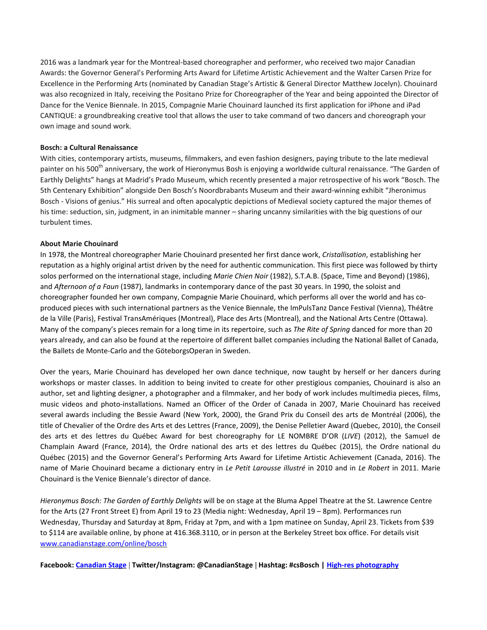2016 was a landmark year for the Montreal-based choreographer and performer, who received two major Canadian Awards: the Governor General's Performing Arts Award for Lifetime Artistic Achievement and the Walter Carsen Prize for Excellence in the Performing Arts (nominated by Canadian Stage's Artistic & General Director Matthew Jocelyn). Chouinard was also recognized in Italy, receiving the Positano Prize for Choreographer of the Year and being appointed the Director of Dance for the Venice Biennale. In 2015, Compagnie Marie Chouinard launched its first application for iPhone and iPad CANTIQUE: a groundbreaking creative tool that allows the user to take command of two dancers and choreograph your own image and sound work.

#### **Bosch: a Cultural Renaissance**

With cities, contemporary artists, museums, filmmakers, and even fashion designers, paying tribute to the late medieval painter on his 500<sup>th</sup> anniversary, the work of Hieronymus Bosh is enjoying a worldwide cultural renaissance. "The Garden of Earthly Delights" hangs at Madrid's Prado Museum, which recently presented a major retrospective of his work "Bosch. The 5th Centenary Exhibition" alongside Den Bosch's Noordbrabants Museum and their award-winning exhibit "Jheronimus Bosch - Visions of genius." His surreal and often apocalyptic depictions of Medieval society captured the major themes of his time: seduction, sin, judgment, in an inimitable manner – sharing uncanny similarities with the big questions of our turbulent times.

#### **About Marie Chouinard**

In 1978, the Montreal choreographer Marie Chouinard presented her first dance work, *Cristallisation*, establishing her reputation as a highly original artist driven by the need for authentic communication. This first piece was followed by thirty solos performed on the international stage, including *Marie Chien Noir* (1982), S.T.A.B. (Space, Time and Beyond) (1986), and *Afternoon of a Faun* (1987), landmarks in contemporary dance of the past 30 years. In 1990, the soloist and choreographer founded her own company, Compagnie Marie Chouinard, which performs all over the world and has coproduced pieces with such international partners as the Venice Biennale, the ImPulsTanz Dance Festival (Vienna), Théâtre de la Ville (Paris), Festival TransAmériques (Montreal), Place des Arts (Montreal), and the National Arts Centre (Ottawa). Many of the company's pieces remain for a long time in its repertoire, such as *The Rite of Spring* danced for more than 20 years already, and can also be found at the repertoire of different ballet companies including the National Ballet of Canada, the Ballets de Monte-Carlo and the GöteborgsOperan in Sweden.

Over the years, Marie Chouinard has developed her own dance technique, now taught by herself or her dancers during workshops or master classes. In addition to being invited to create for other prestigious companies, Chouinard is also an author, set and lighting designer, a photographer and a filmmaker, and her body of work includes multimedia pieces, films, music videos and photo-installations. Named an Officer of the Order of Canada in 2007, Marie Chouinard has received several awards including the Bessie Award (New York, 2000), the Grand Prix du Conseil des arts de Montréal (2006), the title of Chevalier of the Ordre des Arts et des Lettres (France, 2009), the Denise Pelletier Award (Quebec, 2010), the Conseil des arts et des lettres du Québec Award for best choreography for LE NOMBRE D'OR (*LIVE*) (2012), the Samuel de Champlain Award (France, 2014), the Ordre national des arts et des lettres du Québec (2015), the Ordre national du Québec (2015) and the Governor General's Performing Arts Award for Lifetime Artistic Achievement (Canada, 2016). The name of Marie Chouinard became a dictionary entry in *Le Petit Larousse illustré* in 2010 and in *Le Robert* in 2011. Marie Chouinard is the Venice Biennale's director of dance.

*Hieronymus Bosch: The Garden of Earthly Delights* will be on stage at the Bluma Appel Theatre at the St. Lawrence Centre for the Arts (27 Front Street E) from April 19 to 23 (Media night: Wednesday, April 19 – 8pm). Performances run Wednesday, Thursday and Saturday at 8pm, Friday at 7pm, and with a 1pm matinee on Sunday, April 23. Tickets from \$39 to \$114 are available online, by phone at 416.368.3110, or in person at the Berkeley Street box office. For details visit [www.canadianstage.com/online/bosch](http://www.canadianstage.com/online/bosch)

**Facebook: [Canadian](https://www.facebook.com/cdnstage) Stage** | **Twitter/Instagram: @CanadianStage | Hashtag: #csBosch | High-res [photography](https://www.dropbox.com/s/9z92yngb3sg5yrd/Photos%20-%20Hieronymus%20Bosch%20The%20Garden%20of%20Earthly%20Delights.zip?dl=0)**